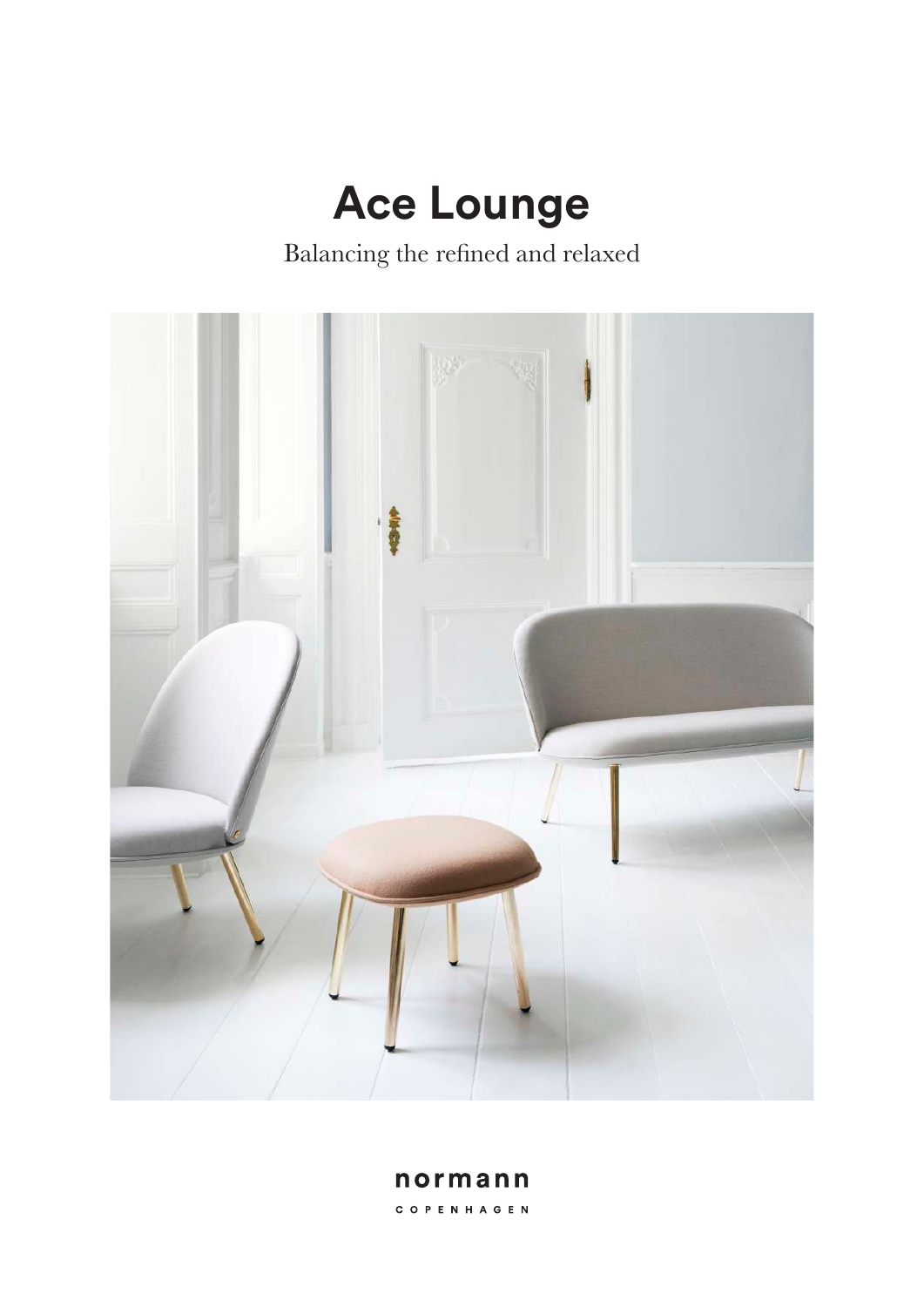# **Ace Lounge**

Balancing the refned and relaxed



normann C O P E N H A G E N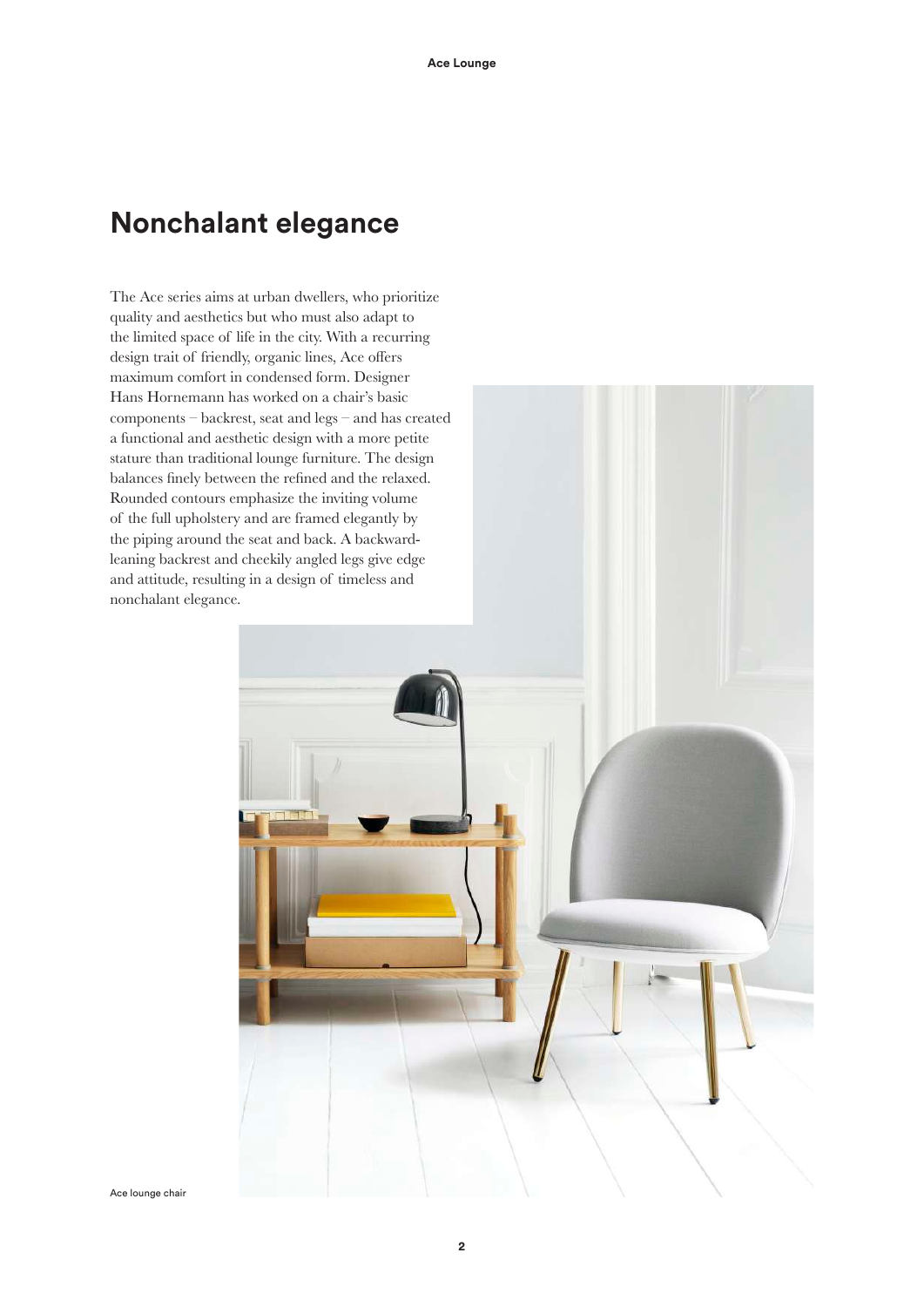### **Nonchalant elegance**

The Ace series aims at urban dwellers, who prioritize quality and aesthetics but who must also adapt to the limited space of life in the city. With a recurring design trait of friendly, organic lines, Ace offers maximum comfort in condensed form. Designer Hans Hornemann has worked on a chair's basic components – backrest, seat and legs – and has created a functional and aesthetic design with a more petite stature than traditional lounge furniture. The design balances fnely between the refned and the relaxed. Rounded contours emphasize the inviting volume of the full upholstery and are framed elegantly by the piping around the seat and back. A backwardleaning backrest and cheekily angled legs give edge and attitude, resulting in a design of timeless and nonchalant elegance.

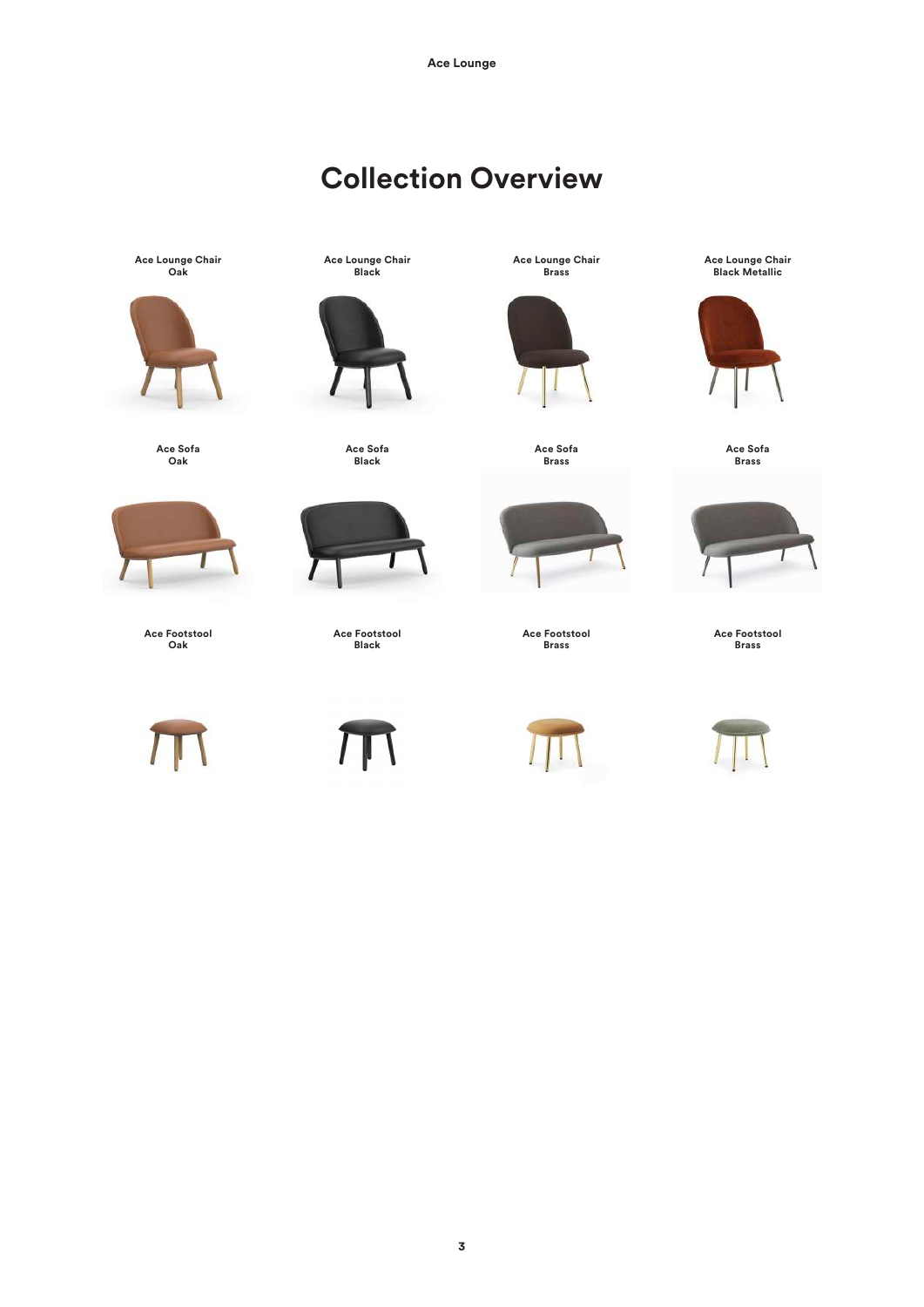# **Collection Overview**

**Ace Lounge Chair Oak**



**Ace Sofa Oak**



**Ace Footstool Oak**



**Ace Lounge Chair Black**



**Ace Sofa Black**



**Ace Footstool Black**

**Ace Lounge Chair Brass**



**Ace Sofa Brass**



**Ace Footstool Brass**



**Ace Lounge Chair Black Metallic**



**Ace Sofa Brass**



**Ace Footstool Brass**

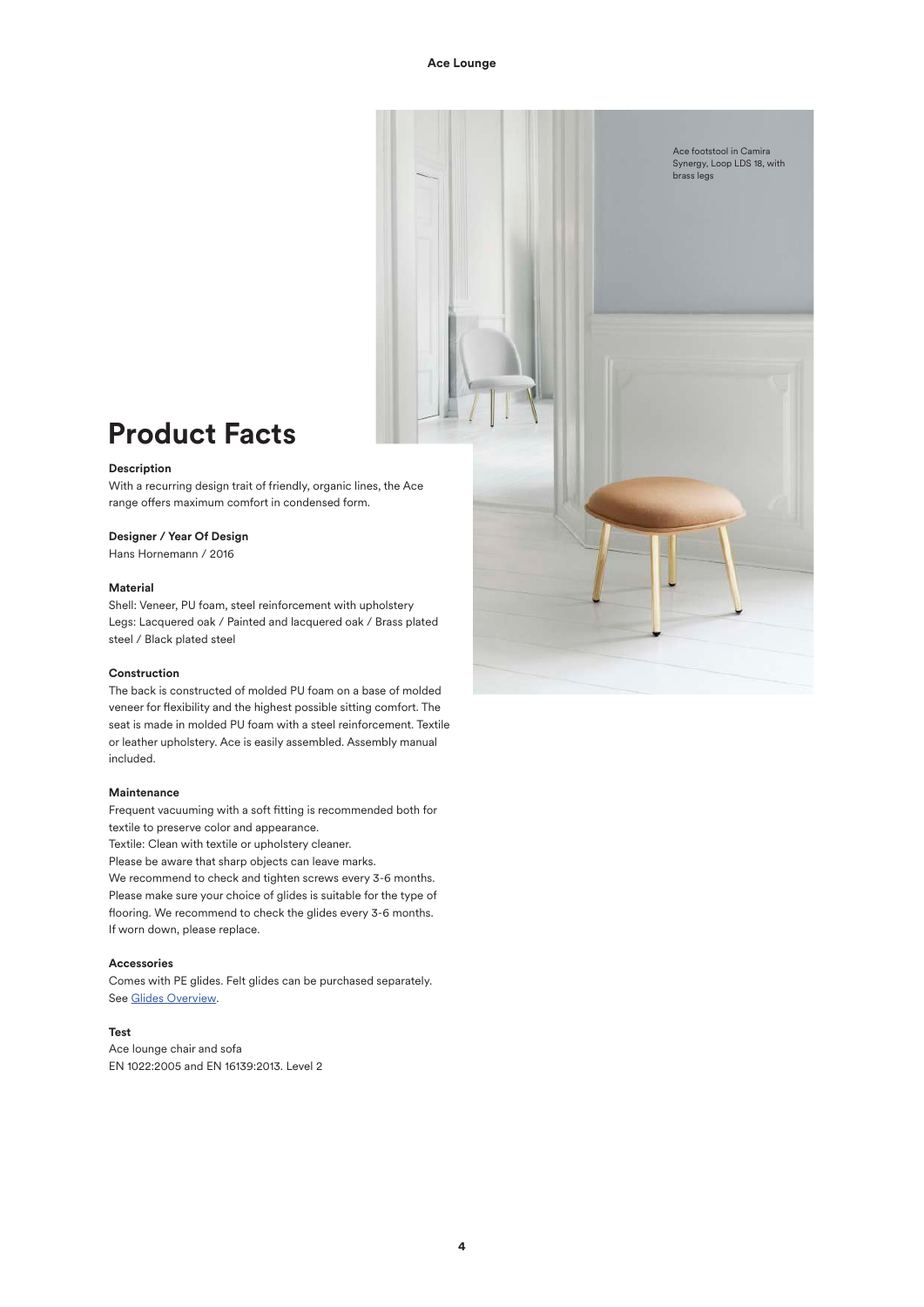

## **Product Facts**

#### **Description**

With a recurring design trait of friendly, organic lines, the Ace range offers maximum comfort in condensed form.

#### **Designer / Year Of Design**

Hans Hornemann / 2016

#### **Material**

Shell: Veneer, PU foam, steel reinforcement with upholstery Legs: Lacquered oak / Painted and lacquered oak / Brass plated steel / Black plated steel

#### **Construction**

The back is constructed of molded PU foam on a base of molded veneer for fexibility and the highest possible sitting comfort. The seat is made in molded PU foam with a steel reinforcement. Textile or leather upholstery. Ace is easily assembled. Assembly manual included.

#### **Maintenance**

Frequent vacuuming with a soft ftting is recommended both for textile to preserve color and appearance.

Textile: Clean with textile or upholstery cleaner.

Please be aware that sharp objects can leave marks.

We recommend to check and tighten screws every 3-6 months. Please make sure your choice of glides is suitable for the type of fooring. We recommend to check the glides every 3-6 months. If worn down, please replace.

#### **Accessories**

Comes with PE glides. Felt glides can be purchased separately. See Glides Overview.

#### **Test**

Ace lounge chair and sofa EN 1022:2005 and EN 16139:2013. Level 2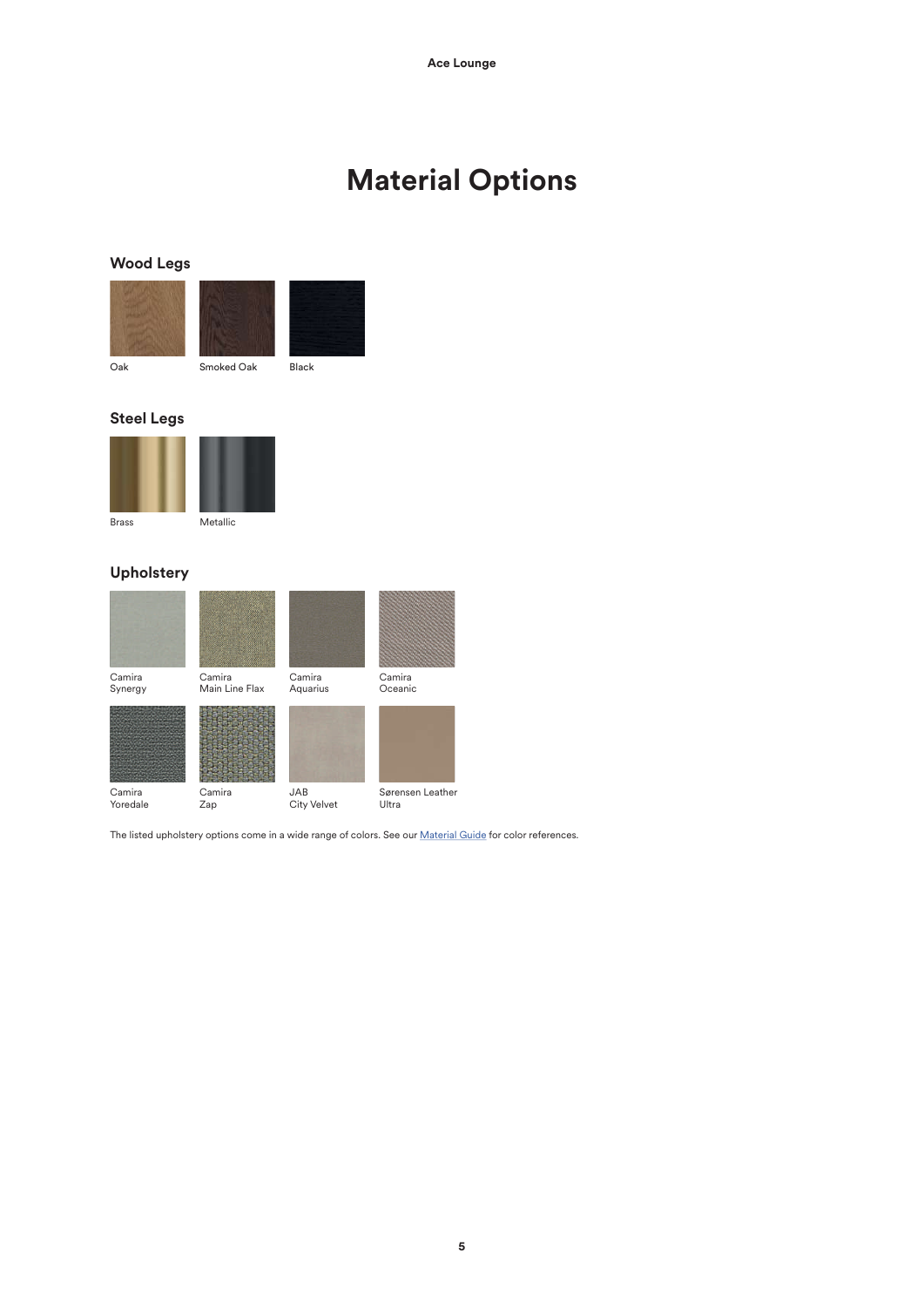# **Material Options**

### **Wood Legs**



### **Steel Legs**



### **Upholstery**



The listed upholstery options come in a wide range of colors. See our **Material Guide** for color references.

**5**